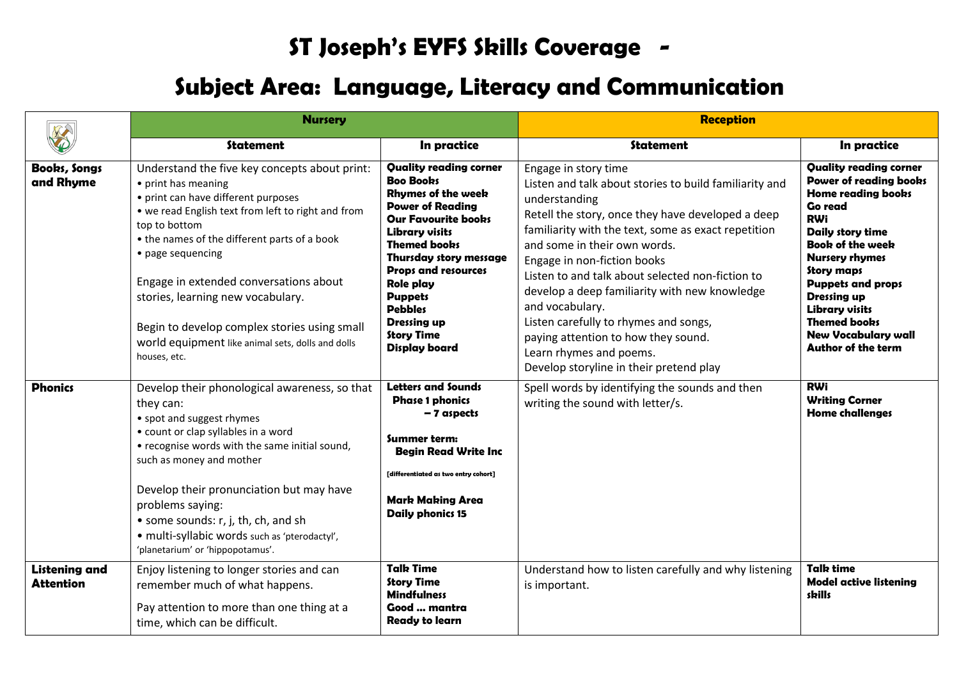## **ST Joseph's EYFS Skills Coverage -**

## **Subject Area: Language, Literacy and Communication**

|                                          | <b>Nursery</b>                                                                                                                                                                                                                                                                                                                                                                                                                                              |                                                                                                                                                                                                                                                                                                                                                                            | <b>Reception</b>                                                                                                                                                                                                                                                                                                                                                                                                                                                                                                                                         |                                                                                                                                                                                                                                                                                                                                                                                       |
|------------------------------------------|-------------------------------------------------------------------------------------------------------------------------------------------------------------------------------------------------------------------------------------------------------------------------------------------------------------------------------------------------------------------------------------------------------------------------------------------------------------|----------------------------------------------------------------------------------------------------------------------------------------------------------------------------------------------------------------------------------------------------------------------------------------------------------------------------------------------------------------------------|----------------------------------------------------------------------------------------------------------------------------------------------------------------------------------------------------------------------------------------------------------------------------------------------------------------------------------------------------------------------------------------------------------------------------------------------------------------------------------------------------------------------------------------------------------|---------------------------------------------------------------------------------------------------------------------------------------------------------------------------------------------------------------------------------------------------------------------------------------------------------------------------------------------------------------------------------------|
|                                          | Statement                                                                                                                                                                                                                                                                                                                                                                                                                                                   | In practice                                                                                                                                                                                                                                                                                                                                                                | <b>Statement</b>                                                                                                                                                                                                                                                                                                                                                                                                                                                                                                                                         | In practice                                                                                                                                                                                                                                                                                                                                                                           |
| Books, Songs<br>and Rhyme                | Understand the five key concepts about print:<br>• print has meaning<br>• print can have different purposes<br>• we read English text from left to right and from<br>top to bottom<br>• the names of the different parts of a book<br>• page sequencing<br>Engage in extended conversations about<br>stories, learning new vocabulary.<br>Begin to develop complex stories using small<br>world equipment like animal sets, dolls and dolls<br>houses, etc. | <b>Quality reading corner</b><br><b>Boo Boobs</b><br><b>Rhymes of the week</b><br><b>Power of Reading</b><br><b>Our Favourite books</b><br><b>Library visits</b><br><b>Themed books</b><br>Thursday story message<br><b>Props and resources</b><br><b>Role play</b><br><b>Puppets</b><br><b>Pebbles</b><br><b>Dressing up</b><br><b>Story Time</b><br><b>Display board</b> | Engage in story time<br>Listen and talk about stories to build familiarity and<br>understanding<br>Retell the story, once they have developed a deep<br>familiarity with the text, some as exact repetition<br>and some in their own words.<br>Engage in non-fiction books<br>Listen to and talk about selected non-fiction to<br>develop a deep familiarity with new knowledge<br>and vocabulary.<br>Listen carefully to rhymes and songs,<br>paying attention to how they sound.<br>Learn rhymes and poems.<br>Develop storyline in their pretend play | <b>Quality reading corner</b><br><b>Power of reading books</b><br><b>Home reading books</b><br><b>Go read</b><br><b>RWi</b><br><b>Daily story time</b><br><b>Book of the week</b><br><b>Nursery rhymes</b><br>Story maps<br><b>Puppets and props</b><br><b>Dressing up</b><br><b>Library visits</b><br><b>Themed books</b><br><b>New Vocabulary wall</b><br><b>Author of the term</b> |
| <b>Phonics</b>                           | Develop their phonological awareness, so that<br>they can:<br>• spot and suggest rhymes<br>• count or clap syllables in a word<br>• recognise words with the same initial sound,<br>such as money and mother<br>Develop their pronunciation but may have<br>problems saying:<br>• some sounds: r, j, th, ch, and sh<br>· multi-syllabic words such as 'pterodactyl',<br>'planetarium' or 'hippopotamus'.                                                    | <b>Letters and Sounds</b><br><b>Phase 1 phonics</b><br>- 7 aspects<br>Summer term:<br><b>Begin Read Write Inc</b><br>[differentiated as two entry cohort]<br><b>Mark Making Area</b><br><b>Daily phonics 15</b>                                                                                                                                                            | Spell words by identifying the sounds and then<br>writing the sound with letter/s.                                                                                                                                                                                                                                                                                                                                                                                                                                                                       | <b>RWi</b><br><b>Writing Corner</b><br><b>Home challenges</b>                                                                                                                                                                                                                                                                                                                         |
| <b>Listening and</b><br><b>Attention</b> | Enjoy listening to longer stories and can<br>remember much of what happens.<br>Pay attention to more than one thing at a<br>time, which can be difficult.                                                                                                                                                                                                                                                                                                   | <b>Talk Time</b><br><b>Story Time</b><br><b>Mindfulness</b><br>Good  mantra<br><b>Ready to learn</b>                                                                                                                                                                                                                                                                       | Understand how to listen carefully and why listening<br>is important.                                                                                                                                                                                                                                                                                                                                                                                                                                                                                    | <b>Talk time</b><br><b>Model active listening</b><br>skills                                                                                                                                                                                                                                                                                                                           |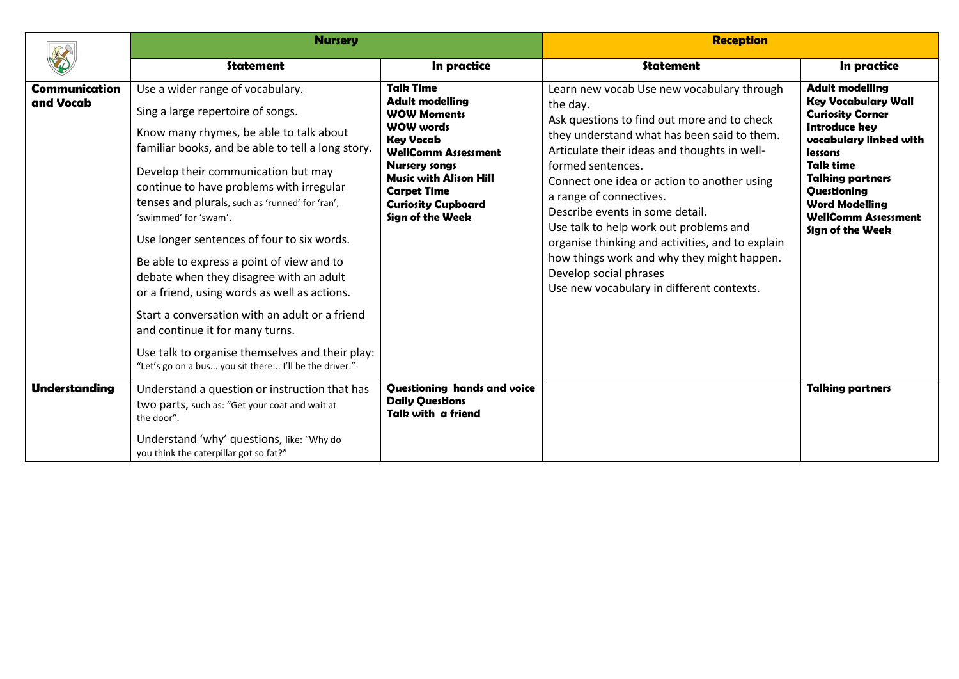|                                   | <b>Nursery</b>                                                                                                                                                                                                                                                                                                                                                                                                                                                                                                                                                                                                                                                                                                              |                                                                                                                                                                                                                                                                        | <b>Reception</b>                                                                                                                                                                                                                                                                                                                                                                                                                                                                                                                                          |                                                                                                                                                                                                                                                                                |
|-----------------------------------|-----------------------------------------------------------------------------------------------------------------------------------------------------------------------------------------------------------------------------------------------------------------------------------------------------------------------------------------------------------------------------------------------------------------------------------------------------------------------------------------------------------------------------------------------------------------------------------------------------------------------------------------------------------------------------------------------------------------------------|------------------------------------------------------------------------------------------------------------------------------------------------------------------------------------------------------------------------------------------------------------------------|-----------------------------------------------------------------------------------------------------------------------------------------------------------------------------------------------------------------------------------------------------------------------------------------------------------------------------------------------------------------------------------------------------------------------------------------------------------------------------------------------------------------------------------------------------------|--------------------------------------------------------------------------------------------------------------------------------------------------------------------------------------------------------------------------------------------------------------------------------|
|                                   | <b>Statement</b>                                                                                                                                                                                                                                                                                                                                                                                                                                                                                                                                                                                                                                                                                                            | In practice                                                                                                                                                                                                                                                            | <b>Statement</b>                                                                                                                                                                                                                                                                                                                                                                                                                                                                                                                                          | In practice                                                                                                                                                                                                                                                                    |
| <b>Communication</b><br>and Vocab | Use a wider range of vocabulary.<br>Sing a large repertoire of songs.<br>Know many rhymes, be able to talk about<br>familiar books, and be able to tell a long story.<br>Develop their communication but may<br>continue to have problems with irregular<br>tenses and plurals, such as 'runned' for 'ran',<br>'swimmed' for 'swam'.<br>Use longer sentences of four to six words.<br>Be able to express a point of view and to<br>debate when they disagree with an adult<br>or a friend, using words as well as actions.<br>Start a conversation with an adult or a friend<br>and continue it for many turns.<br>Use talk to organise themselves and their play:<br>"Let's go on a bus you sit there I'll be the driver." | <b>Talk Time</b><br><b>Adult modelling</b><br><b>WOW Moments</b><br><b>WOW words</b><br><b>Key Vocab</b><br><b>WellComm Assessment</b><br><b>Nursery songs</b><br><b>Music with Alison Hill</b><br><b>Carpet Time</b><br><b>Curiosity Cupboard</b><br>Sign of the Week | Learn new vocab Use new vocabulary through<br>the day.<br>Ask questions to find out more and to check<br>they understand what has been said to them.<br>Articulate their ideas and thoughts in well-<br>formed sentences.<br>Connect one idea or action to another using<br>a range of connectives.<br>Describe events in some detail.<br>Use talk to help work out problems and<br>organise thinking and activities, and to explain<br>how things work and why they might happen.<br>Develop social phrases<br>Use new vocabulary in different contexts. | <b>Adult modelling</b><br><b>Key Vocabulary Wall</b><br><b>Curiosity Corner</b><br><b>Introduce key</b><br>vocabulary linked with<br>lessons<br>Talk time<br><b>Talking partners</b><br>Questioning<br><b>Word Modelling</b><br><b>WellComm Assessment</b><br>Sign of the Week |
| <b>Understanding</b>              | Understand a question or instruction that has<br>two parts, such as: "Get your coat and wait at<br>the door".<br>Understand 'why' questions, like: "Why do<br>you think the caterpillar got so fat?"                                                                                                                                                                                                                                                                                                                                                                                                                                                                                                                        | Questioning hands and voice<br><b>Daily Questions</b><br>Talk with a friend                                                                                                                                                                                            |                                                                                                                                                                                                                                                                                                                                                                                                                                                                                                                                                           | <b>Talking partners</b>                                                                                                                                                                                                                                                        |